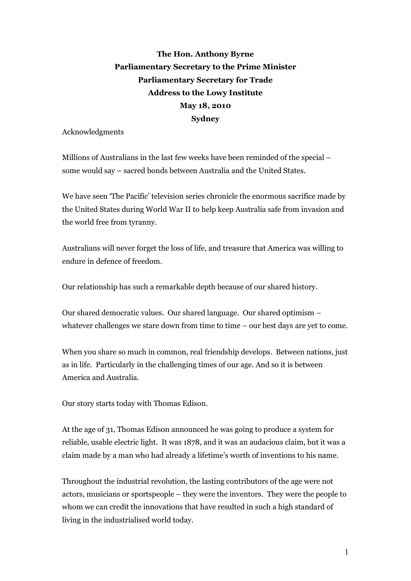**The Hon. Anthony Byrne Parliamentary Secretary to the Prime Minister Parliamentary Secretary for Trade Address to the Lowy Institute May 18, 2010 Sydney**

Acknowledgments

Millions of Australians in the last few weeks have been reminded of the special – some would say – sacred bonds between Australia and the United States.

We have seen 'The Pacific' television series chronicle the enormous sacrifice made by the United States during World War II to help keep Australia safe from invasion and the world free from tyranny.

Australians will never forget the loss of life, and treasure that America was willing to endure in defence of freedom.

Our relationship has such a remarkable depth because of our shared history.

Our shared democratic values. Our shared language. Our shared optimism – whatever challenges we stare down from time to time – our best days are yet to come.

When you share so much in common, real friendship develops. Between nations, just as in life. Particularly in the challenging times of our age. And so it is between America and Australia.

Our story starts today with Thomas Edison.

At the age of 31, Thomas Edison announced he was going to produce a system for reliable, usable electric light. It was 1878, and it was an audacious claim, but it was a claim made by a man who had already a lifetime's worth of inventions to his name.

Throughout the industrial revolution, the lasting contributors of the age were not actors, musicians or sportspeople – they were the inventors. They were the people to whom we can credit the innovations that have resulted in such a high standard of living in the industrialised world today.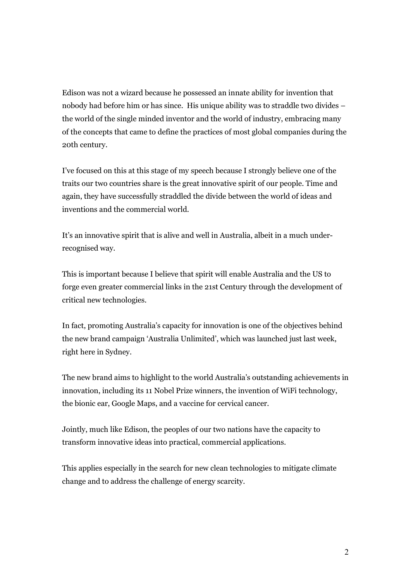Edison was not a wizard because he possessed an innate ability for invention that nobody had before him or has since. His unique ability was to straddle two divides – the world of the single minded inventor and the world of industry, embracing many of the concepts that came to define the practices of most global companies during the 20th century.

I've focused on this at this stage of my speech because I strongly believe one of the traits our two countries share is the great innovative spirit of our people. Time and again, they have successfully straddled the divide between the world of ideas and inventions and the commercial world.

It's an innovative spirit that is alive and well in Australia, albeit in a much under recognised way.

This is important because I believe that spirit will enable Australia and the US to forge even greater commercial links in the 21st Century through the development of critical new technologies.

In fact, promoting Australia's capacity for innovation is one of the objectives behind the new brand campaign 'Australia Unlimited', which was launched just last week, right here in Sydney.

The new brand aims to highlight to the world Australia's outstanding achievements in innovation, including its 11 Nobel Prize winners, the invention of WiFi technology, the bionic ear, Google Maps, and a vaccine for cervical cancer.

Jointly, much like Edison, the peoples of our two nations have the capacity to transform innovative ideas into practical, commercial applications.

This applies especially in the search for new clean technologies to mitigate climate change and to address the challenge of energy scarcity.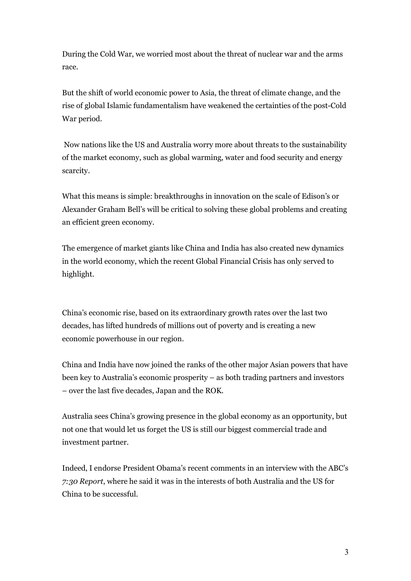During the Cold War, we worried most about the threat of nuclear war and the arms race.

But the shift of world economic power to Asia, the threat of climate change, and the rise of global Islamic fundamentalism have weakened the certainties of the post-Cold War period.

Now nations like the US and Australia worry more about threats to the sustainability of the market economy, such as global warming, water and food security and energy scarcity.

What this means is simple: breakthroughs in innovation on the scale of Edison's or Alexander Graham Bell's will be critical to solving these global problems and creating an efficient green economy.

The emergence of market giants like China and India has also created new dynamics in the world economy, which the recent Global Financial Crisis has only served to highlight.

China's economic rise, based on its extraordinary growth rates over the last two decades, has lifted hundreds of millions out of poverty and is creating a new economic powerhouse in our region.

China and India have now joined the ranks of the other major Asian powers that have been key to Australia's economic prosperity – as both trading partners and investors – over the last five decades, Japan and the ROK.

Australia sees China's growing presence in the global economy as an opportunity, but not one that would let us forget the US is still our biggest commercial trade and investment partner.

Indeed, I endorse President Obama's recent comments in an interview with the ABC's *7:30 Report*, where he said it was in the interests of both Australia and the US for China to be successful.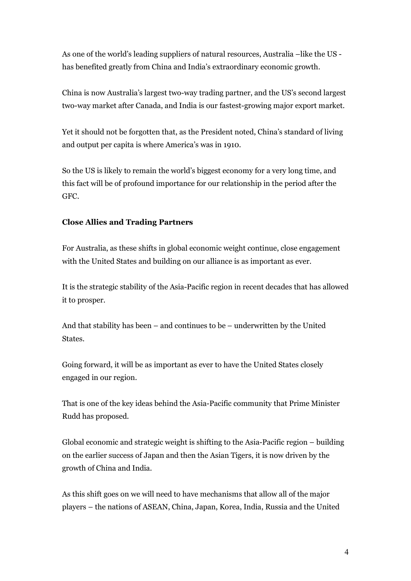As one of the world's leading suppliers of natural resources, Australia –like the US has benefited greatly from China and India's extraordinary economic growth.

China is now Australia's largest two-way trading partner, and the US's second largest two-way market after Canada, and India is our fastest-growing major export market.

Yet it should not be forgotten that, as the President noted, China's standard of living and output per capita is where America's was in 1910.

So the US is likely to remain the world's biggest economy for a very long time, and this fact will be of profound importance for our relationship in the period after the GFC.

## **Close Allies and Trading Partners**

For Australia, as these shifts in global economic weight continue, close engagement with the United States and building on our alliance is as important as ever.

It is the strategic stability of the Asia-Pacific region in recent decades that has allowed it to prosper.

And that stability has been – and continues to be – underwritten by the United States.

Going forward, it will be as important as ever to have the United States closely engaged in our region.

That is one of the key ideas behind the Asia-Pacific community that Prime Minister Rudd has proposed.

Global economic and strategic weight is shifting to the Asia-Pacific region  $-$  building on the earlier success of Japan and then the Asian Tigers, it is now driven by the growth of China and India.

As this shift goes on we will need to have mechanisms that allow all of the major players – the nations of ASEAN, China, Japan, Korea, India, Russia and the United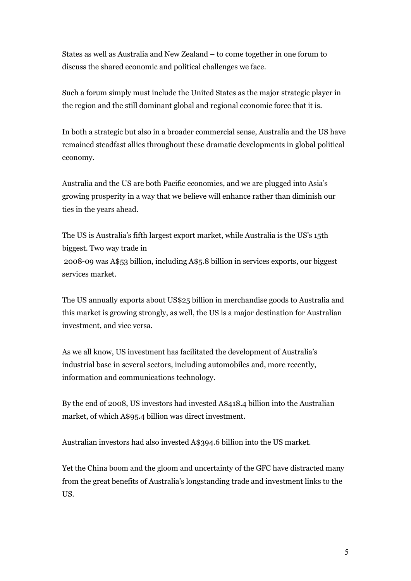States as well as Australia and New Zealand – to come together in one forum to discuss the shared economic and political challenges we face.

Such a forum simply must include the United States as the major strategic player in the region and the still dominant global and regional economic force that it is.

In both a strategic but also in a broader commercial sense, Australia and the US have remained steadfast allies throughout these dramatic developments in global political economy.

Australia and the US are both Pacific economies, and we are plugged into Asia's growing prosperity in a way that we believe will enhance rather than diminish our ties in the years ahead.

The US is Australia's fifth largest export market, while Australia is the US's 15th biggest. Two way trade in  $2008$ -09 was A\$53 billion, including A\$5.8 billion in services exports, our biggest services market.

The US annually exports about US\$25 billion in merchandise goods to Australia and this market is growing strongly, as well, the US is a major destination for Australian investment, and vice versa.

As we all know, US investment has facilitated the development of Australia's industrial base in several sectors, including automobiles and, more recently, information and communications technology.

By the end of 2008, US investors had invested A\$418.4 billion into the Australian market, of which A\$95.4 billion was direct investment.

Australian investors had also invested A\$394.6 billion into the US market.

Yet the China boom and the gloom and uncertainty of the GFC have distracted many from the great benefits of Australia's longstanding trade and investment links to the US.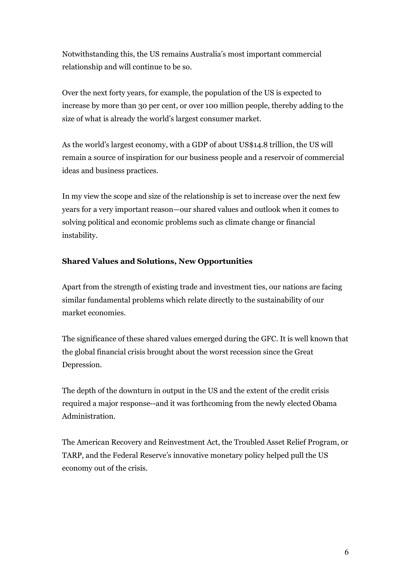Notwithstanding this, the US remains Australia's most important commercial relationship and will continue to be so.

Over the next forty years, for example, the population of the US is expected to increase by more than 30 per cent, or over 100 million people, thereby adding to the size of what is already the world's largest consumer market.

As the world's largest economy, with a GDP of about US\$14.8 trillion, the US will remain a source of inspiration for our business people and a reservoir of commercial ideas and business practices.

In my view the scope and size of the relationship is set to increase over the next few years for a very important reason—our shared values and outlook when it comes to solving political and economic problems such as climate change or financial instability.

# **Shared Values and Solutions, New Opportunities**

Apart from the strength of existing trade and investment ties, our nations are facing similar fundamental problems which relate directly to the sustainability of our market economies.

The significance of these shared values emerged during the GFC. It is well known that the global financial crisis brought about the worst recession since the Great Depression.

The depth of the downturn in output in the US and the extent of the credit crisis required a major response--and it was forthcoming from the newly elected Obama Administration.

The American Recovery and Reinvestment Act, the Troubled Asset Relief Program, or TARP, and the Federal Reserve's innovative monetary policy helped pull the US economy out of the crisis.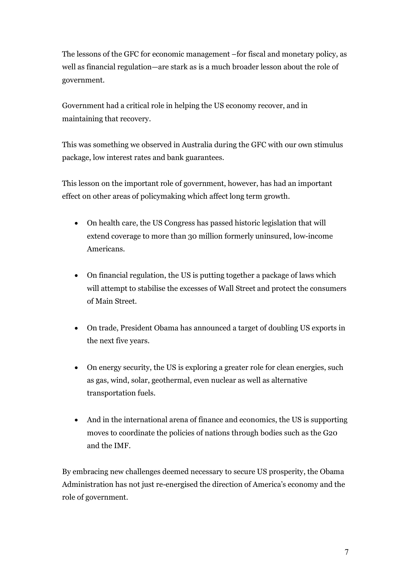The lessons of the GFC for economic management –for fiscal and monetary policy, as well as financial regulation—are stark as is a much broader lesson about the role of government.

Government had a critical role in helping the US economy recover, and in maintaining that recovery.

This was something we observed in Australia during the GFC with our own stimulus package, low interest rates and bank guarantees.

This lesson on the important role of government, however, has had an important effect on other areas of policymaking which affect long term growth.

- · On health care, the US Congress has passed historic legislation that will extend coverage to more than 30 million formerly uninsured, low-income Americans.
- · On financial regulation, the US is putting together a package of laws which will attempt to stabilise the excesses of Wall Street and protect the consumers of Main Street.
- · On trade, President Obama has announced a target of doubling US exports in the next five years.
- · On energy security, the US is exploring a greater role for clean energies, such as gas, wind, solar, geothermal, even nuclear as well as alternative transportation fuels.
- · And in the international arena of finance and economics, the US is supporting moves to coordinate the policies of nations through bodies such as the G20 and the IMF.

By embracing new challenges deemed necessary to secure US prosperity, the Obama Administration has not just re-energised the direction of America's economy and the role of government.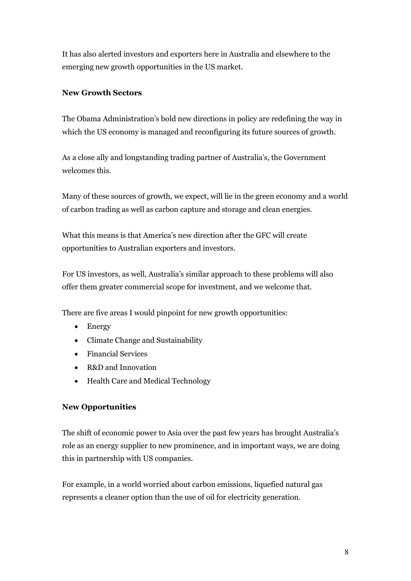It has also alerted investors and exporters here in Australia and elsewhere to the emerging new growth opportunities in the US market.

# **New Growth Sectors**

The Obama Administration's bold new directions in policy are redefining the way in which the US economy is managed and reconfiguring its future sources of growth.

As a close ally and longstanding trading partner of Australia's, the Government welcomes this.

Many of these sources of growth, we expect, will lie in the green economy and a world of carbon trading as well as carbon capture and storage and clean energies.

What this means is that America's new direction after the GFC will create opportunities to Australian exporters and investors.

For US investors, as well, Australia's similar approach to these problems will also offer them greater commercial scope for investment, and we welcome that.

There are five areas I would pinpoint for new growth opportunities:

- · Energy
- · Climate Change and Sustainability
- · Financial Services
- R&D and Innovation
- · Health Care and Medical Technology

## **New Opportunities**

The shift of economic power to Asia over the past few years has brought Australia's role as an energy supplier to new prominence, and in important ways, we are doing this in partnership with US companies.

For example, in a world worried about carbon emissions, liquefied natural gas represents a cleaner option than the use of oil for electricity generation.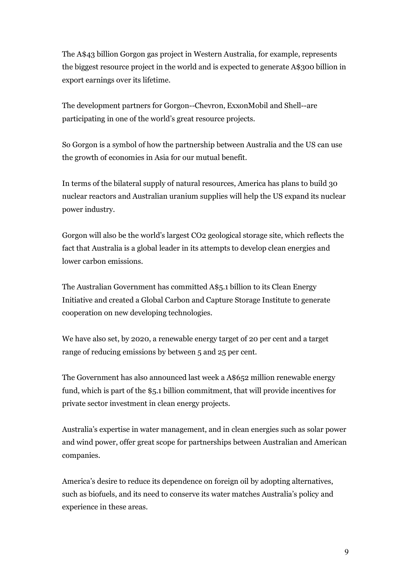The A\$43 billion Gorgon gas project in Western Australia, for example, represents the biggest resource project in the world and is expected to generate A\$300 billion in export earnings over its lifetime.

The development partners for Gorgon--Chevron, ExxonMobil and Shell--are participating in one of the world's great resource projects.

So Gorgon is a symbol of how the partnership between Australia and the US can use the growth of economies in Asia for our mutual benefit.

In terms of the bilateral supply of natural resources, America has plans to build 30 nuclear reactors and Australian uranium supplies will help the US expand its nuclear power industry.

Gorgon will also be the world's largest CO2 geological storage site, which reflects the fact that Australia is a global leader in its attempts to develop clean energies and lower carbon emissions.

The Australian Government has committed A\$5.1 billion to its Clean Energy Initiative and created a Global Carbon and Capture Storage Institute to generate cooperation on new developing technologies.

We have also set, by 2020, a renewable energy target of 20 per cent and a target range of reducing emissions by between 5 and 25 per cent.

The Government has also announced last week a A\$652 million renewable energy fund, which is part of the \$5.1 billion commitment, that will provide incentives for private sector investment in clean energy projects.

Australia's expertise in water management, and in clean energies such as solar power and wind power, offer great scope for partnerships between Australian and American companies.

America's desire to reduce its dependence on foreign oil by adopting alternatives, such as biofuels, and its need to conserve its water matches Australia's policy and experience in these areas.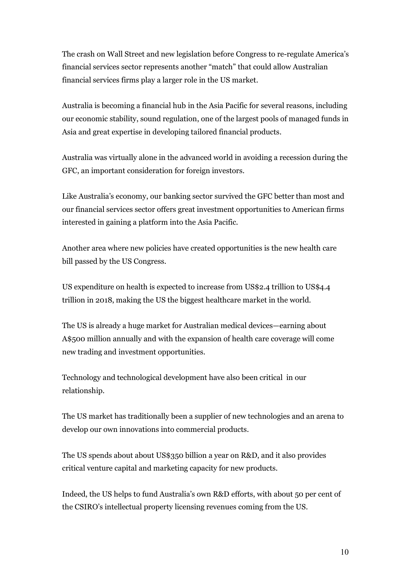The crash on Wall Street and new legislation before Congress to re-regulate America's financial services sector represents another "match" that could allow Australian financial services firms play a larger role in the US market.

Australia is becoming a financial hub in the Asia Pacific for several reasons, including our economic stability, sound regulation, one of the largest pools of managed funds in Asia and great expertise in developing tailored financial products.

Australia was virtually alone in the advanced world in avoiding a recession during the GFC, an important consideration for foreign investors.

Like Australia's economy, our banking sector survived the GFC better than most and our financial services sector offers great investment opportunities to American firms interested in gaining a platform into the Asia Pacific.

Another area where new policies have created opportunities is the new health care bill passed by the US Congress.

US expenditure on health is expected to increase from US\$2.4 trillion to US\$4.4 trillion in 2018, making the US the biggest healthcare market in the world.

The US is already a huge market for Australian medical devices—earning about A\$500 million annually and with the expansion of health care coverage will come new trading and investment opportunities.

Technology and technological development have also been critical in our relationship.

The US market has traditionally been a supplier of new technologies and an arena to develop our own innovations into commercial products.

The US spends about about US\$350 billion a year on R&D, and it also provides critical venture capital and marketing capacity for new products.

Indeed, the US helps to fund Australia's own R&D efforts, with about 50 per cent of the CSIRO's intellectual property licensing revenues coming from the US.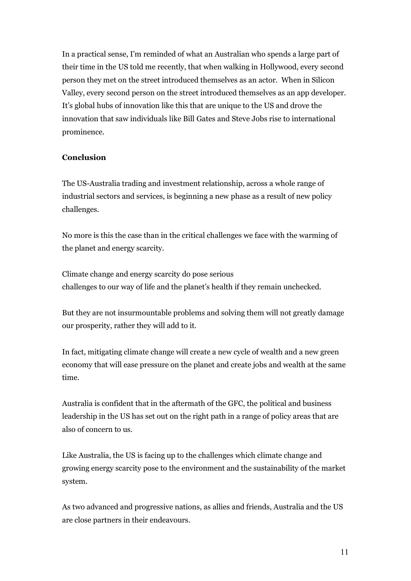In a practical sense, I'm reminded of what an Australian who spends a large part of their time in the US told me recently, that when walking in Hollywood, every second person they met on the street introduced themselves as an actor. When in Silicon Valley, every second person on the street introduced themselves as an app developer. It's global hubs of innovation like this that are unique to the US and drove the innovation that saw individuals like Bill Gates and Steve Jobs rise to international prominence.

### **Conclusion**

The US-Australia trading and investment relationship, across a whole range of industrial sectors and services, is beginning a new phase as a result of new policy challenges.

No more is this the case than in the critical challenges we face with the warming of the planet and energy scarcity.

Climate change and energy scarcity do pose serious challenges to our way of life and the planet's health if they remain unchecked.

But they are not insurmountable problems and solving them will not greatly damage our prosperity, rather they will add to it.

In fact, mitigating climate change will create a new cycle of wealth and a new green economy that will ease pressure on the planet and create jobs and wealth at the same time.

Australia is confident that in the aftermath of the GFC, the political and business leadership in the US has set out on the right path in a range of policy areas that are also of concern to us.

Like Australia, the US is facing up to the challenges which climate change and growing energy scarcity pose to the environment and the sustainability of the market system.

As two advanced and progressive nations, as allies and friends, Australia and the US are close partners in their endeavours.